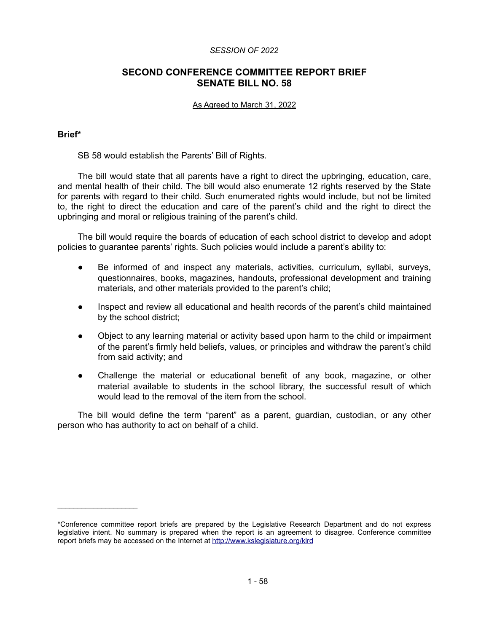### *SESSION OF 2022*

# **SECOND CONFERENCE COMMITTEE REPORT BRIEF SENATE BILL NO. 58**

### As Agreed to March 31, 2022

### **Brief\***

 $\mathcal{L}_\text{max}$  , we have the set of the set of the set of the set of the set of the set of the set of the set of the set of the set of the set of the set of the set of the set of the set of the set of the set of the set of

SB 58 would establish the Parents' Bill of Rights.

The bill would state that all parents have a right to direct the upbringing, education, care, and mental health of their child. The bill would also enumerate 12 rights reserved by the State for parents with regard to their child. Such enumerated rights would include, but not be limited to, the right to direct the education and care of the parent's child and the right to direct the upbringing and moral or religious training of the parent's child.

The bill would require the boards of education of each school district to develop and adopt policies to guarantee parents' rights. Such policies would include a parent's ability to:

- Be informed of and inspect any materials, activities, curriculum, syllabi, surveys, questionnaires, books, magazines, handouts, professional development and training materials, and other materials provided to the parent's child;
- Inspect and review all educational and health records of the parent's child maintained by the school district;
- Object to any learning material or activity based upon harm to the child or impairment of the parent's firmly held beliefs, values, or principles and withdraw the parent's child from said activity; and
- Challenge the material or educational benefit of any book, magazine, or other material available to students in the school library, the successful result of which would lead to the removal of the item from the school.

The bill would define the term "parent" as a parent, guardian, custodian, or any other person who has authority to act on behalf of a child.

<sup>\*</sup>Conference committee report briefs are prepared by the Legislative Research Department and do not express legislative intent. No summary is prepared when the report is an agreement to disagree. Conference committee report briefs may be accessed on the Internet at<http://www.kslegislature.org/klrd>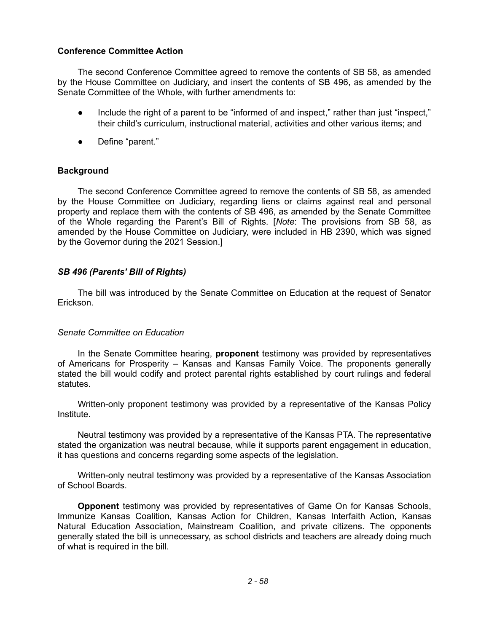## **Conference Committee Action**

The second Conference Committee agreed to remove the contents of SB 58, as amended by the House Committee on Judiciary, and insert the contents of SB 496, as amended by the Senate Committee of the Whole, with further amendments to:

- Include the right of a parent to be "informed of and inspect," rather than just "inspect," their child's curriculum, instructional material, activities and other various items; and
- Define "parent."

## **Background**

The second Conference Committee agreed to remove the contents of SB 58, as amended by the House Committee on Judiciary, regarding liens or claims against real and personal property and replace them with the contents of SB 496, as amended by the Senate Committee of the Whole regarding the Parent's Bill of Rights. [*Note*: The provisions from SB 58, as amended by the House Committee on Judiciary, were included in HB 2390, which was signed by the Governor during the 2021 Session.]

## *SB 496 (Parents' Bill of Rights)*

The bill was introduced by the Senate Committee on Education at the request of Senator Erickson.

### *Senate Committee on Education*

In the Senate Committee hearing, **proponent** testimony was provided by representatives of Americans for Prosperity – Kansas and Kansas Family Voice. The proponents generally stated the bill would codify and protect parental rights established by court rulings and federal statutes.

Written-only proponent testimony was provided by a representative of the Kansas Policy Institute.

Neutral testimony was provided by a representative of the Kansas PTA. The representative stated the organization was neutral because, while it supports parent engagement in education, it has questions and concerns regarding some aspects of the legislation.

Written-only neutral testimony was provided by a representative of the Kansas Association of School Boards.

**Opponent** testimony was provided by representatives of Game On for Kansas Schools, Immunize Kansas Coalition, Kansas Action for Children, Kansas Interfaith Action, Kansas Natural Education Association, Mainstream Coalition, and private citizens. The opponents generally stated the bill is unnecessary, as school districts and teachers are already doing much of what is required in the bill.